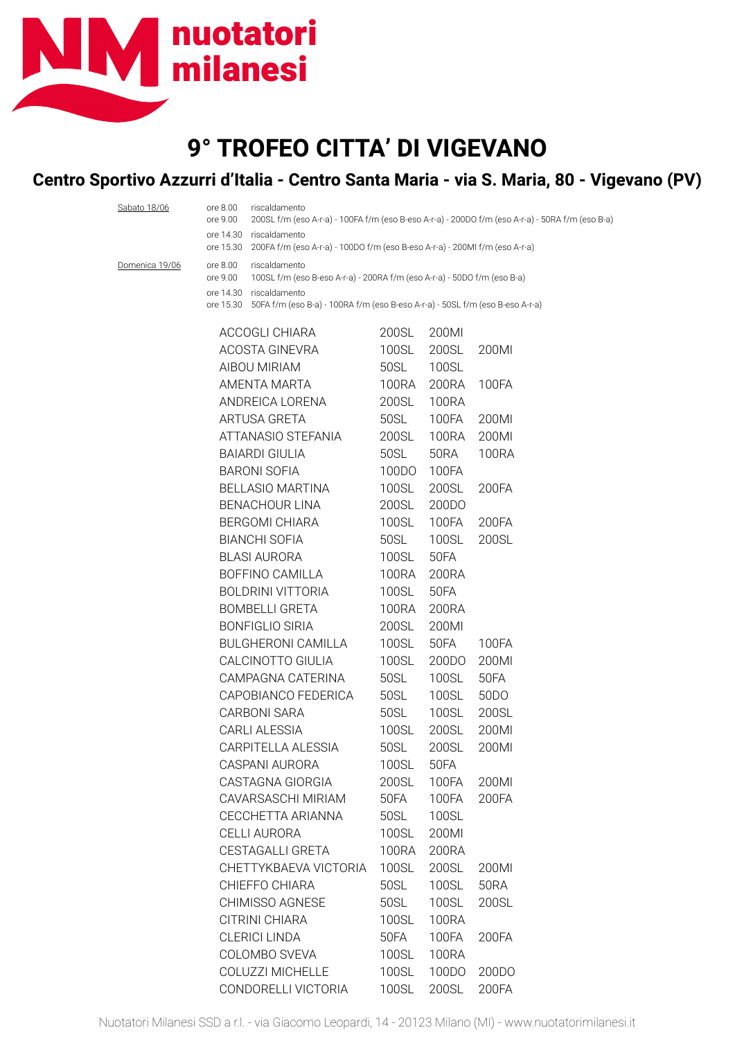

## **9° TROFEO CITTA' DI VIGEVANO**

## **Centro Sportivo Azzurri d'Italia - Centro Santa Maria - via S. Maria, 80 - Vigevano (PV)**

| Sabato 18/06   | ore 8.00<br>ore 9.00 | riscaldamento<br>200SL f/m (eso A-r-a) - 100FA f/m (eso B-eso A-r-a) - 200DO f/m (eso A-r-a) - 50RA f/m (eso B-a) |              |              |                   |  |  |  |
|----------------|----------------------|-------------------------------------------------------------------------------------------------------------------|--------------|--------------|-------------------|--|--|--|
|                |                      | ore 14.30 riscaldamento                                                                                           |              |              |                   |  |  |  |
|                |                      | ore 15.30 200FA f/m (eso A-r-a) - 100DO f/m (eso B-eso A-r-a) - 200MI f/m (eso A-r-a)                             |              |              |                   |  |  |  |
| Domenica 19/06 | ore 8.00             | riscaldamento<br>100SL f/m (eso B-eso A-r-a) - 200RA f/m (eso A-r-a) - 50DO f/m (eso B-a)                         |              |              |                   |  |  |  |
|                | ore 9.00             | ore 14.30 riscaldamento                                                                                           |              |              |                   |  |  |  |
|                |                      | ore 15.30 50FA f/m (eso B-a) - 100RA f/m (eso B-eso A-r-a) - 50SL f/m (eso B-eso A-r-a)                           |              |              |                   |  |  |  |
|                |                      | ACCOGLI CHIARA                                                                                                    | 200SL        | 200MI        |                   |  |  |  |
|                | ACOSTA GINEVRA       |                                                                                                                   | 100SL        | 200SL        | 200MI             |  |  |  |
|                | AIBOU MIRIAM         |                                                                                                                   | 50SL         | 100SL        |                   |  |  |  |
|                |                      | AMENTA MARTA<br>ANDREICA LORENA<br>ARTUSA GRETA                                                                   |              | 200RA        | 100FA             |  |  |  |
|                |                      |                                                                                                                   |              | <b>100RA</b> |                   |  |  |  |
|                |                      |                                                                                                                   |              | 100FA        | 200MI             |  |  |  |
|                |                      | ATTANASIO STEFANIA                                                                                                | 200SL        | 100RA        | 200MI             |  |  |  |
|                |                      | <b>BAIARDI GIULIA</b>                                                                                             | 50SL         | 50RA         | <b>100RA</b>      |  |  |  |
|                |                      | <b>BARONI SOFIA</b>                                                                                               | 100DO        | 100FA        |                   |  |  |  |
|                |                      | <b>BELLASIO MARTINA</b>                                                                                           | 100SL        | 200SL        | 200FA             |  |  |  |
|                |                      | <b>BENACHOUR LINA</b>                                                                                             | 200SL        | 200DO        |                   |  |  |  |
|                |                      | <b>BERGOMI CHIARA</b>                                                                                             | <b>100SL</b> | 100FA        | 200FA             |  |  |  |
|                |                      | <b>BIANCHI SOFIA</b>                                                                                              | 50SL         | 100SL        | 200SL             |  |  |  |
|                | <b>BLASI AURORA</b>  |                                                                                                                   | 100SL        | 50FA         |                   |  |  |  |
|                |                      | BOFFINO CAMILLA                                                                                                   | <b>100RA</b> | 200RA        |                   |  |  |  |
|                |                      | <b>BOLDRINI VITTORIA</b>                                                                                          | 100SL        | 50FA         |                   |  |  |  |
|                |                      | <b>BOMBELLI GRETA</b>                                                                                             | 100RA        | 200RA        |                   |  |  |  |
|                |                      | <b>BONFIGLIO SIRIA</b>                                                                                            | 200SL        | 200MI        |                   |  |  |  |
|                |                      | <b>BULGHERONI CAMILLA</b>                                                                                         | 100SL        | 50FA         | 100FA             |  |  |  |
|                |                      | CALCINOTTO GIULIA                                                                                                 | 100SL        | 200DO        | 200MI             |  |  |  |
|                |                      | CAMPAGNA CATERINA                                                                                                 | 50SL         | 100SL        | 50FA              |  |  |  |
|                |                      | CAPOBIANCO FEDERICA                                                                                               | 50SL         | 100SL        | 50 <sub>D</sub> O |  |  |  |
|                |                      | <b>CARBONI SARA</b>                                                                                               | 50SL         | 100SL        | 200SL             |  |  |  |
|                |                      | <b>CARLI ALESSIA</b>                                                                                              | 100SL        | 200SL        | 200MI             |  |  |  |
|                |                      | CARPITELLA ALESSIA                                                                                                | 50SL         | 200SL        | 200MI             |  |  |  |
|                |                      | CASPANI AURORA                                                                                                    | 100SL        | 50FA         |                   |  |  |  |
|                |                      | CASTAGNA GIORGIA                                                                                                  | 200SL        | 100FA        | 200MI             |  |  |  |
|                |                      | CAVARSASCHI MIRIAM                                                                                                | 50FA         | 100FA        | 200FA             |  |  |  |
|                |                      | CECCHETTA ARIANNA                                                                                                 | 50SL         | 100SL        |                   |  |  |  |
|                |                      | <b>CELLI AURORA</b>                                                                                               | 100SL        | 200MI        |                   |  |  |  |
|                |                      | CESTAGALLI GRETA                                                                                                  | <b>100RA</b> | 200RA        |                   |  |  |  |
|                |                      | CHETTYKBAEVA VICTORIA                                                                                             | 100SL        | 200SL        | 200MI             |  |  |  |
|                |                      | CHIEFFO CHIARA                                                                                                    | 50SL         | 100SL        | <b>50RA</b>       |  |  |  |
|                |                      | CHIMISSO AGNESE                                                                                                   | 50SL         | 100SL        | 200SL             |  |  |  |
|                |                      | CITRINI CHIARA                                                                                                    | 100SL        | <b>100RA</b> |                   |  |  |  |
|                |                      | <b>CLERICI LINDA</b>                                                                                              | 50FA         | 100FA        | 200FA             |  |  |  |
|                |                      | COLOMBO SVEVA                                                                                                     | 100SL        | <b>100RA</b> |                   |  |  |  |
|                |                      | COLUZZI MICHELLE                                                                                                  | 100SL        | 100DO        | 200DO             |  |  |  |
|                |                      | CONDORELLI VICTORIA                                                                                               | 100SL        | 200SL        | 200FA             |  |  |  |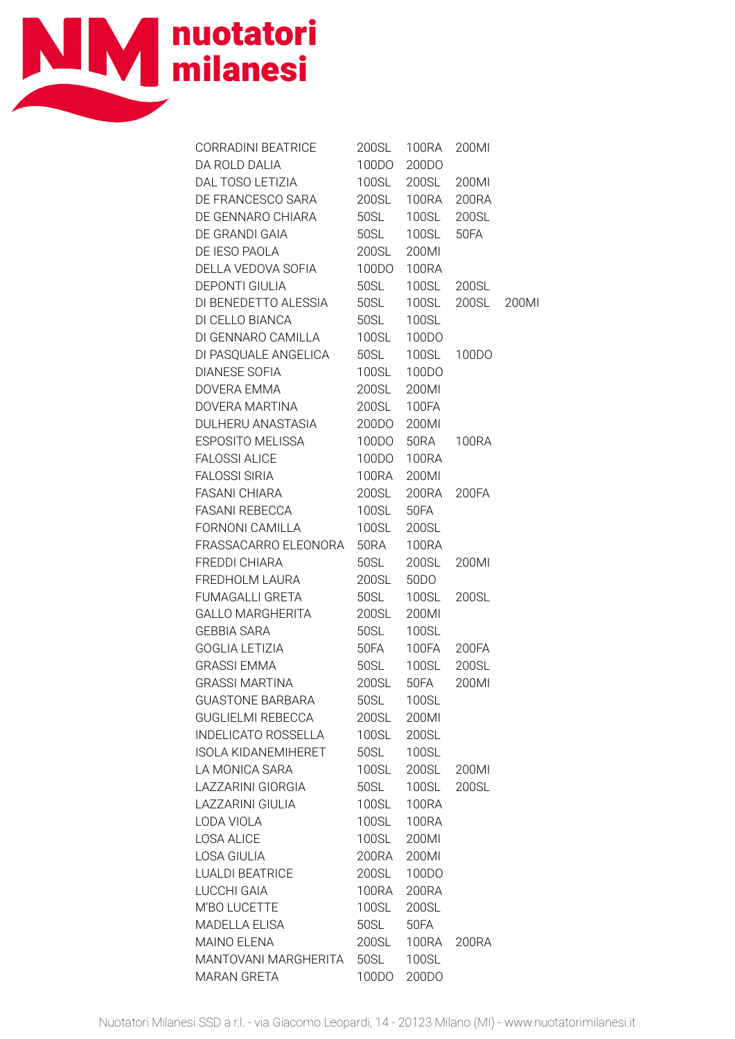

| CORRADINI BEATRICE 200SL 100RA 200MI          |              |              |                   |  |
|-----------------------------------------------|--------------|--------------|-------------------|--|
| DA ROLD DALIA 100DO<br>DAL TOSO LETIZIA 100SL |              | 200DO        |                   |  |
|                                               |              | 200SL 200MI  |                   |  |
| DE FRANCESCO SARA 200SL                       |              |              | 100RA 200RA       |  |
| DE GENNARO CHIARA                             | 50SL         | 100SL 200SL  |                   |  |
| DE GRANDI GAIA                                | 50SL         | 100SL        | 50FA              |  |
| DE IESO PAOLA                                 | 200SL        | 200MI        |                   |  |
| DELLA VEDOVA SOFIA                            | 100DO        | 100RA        |                   |  |
| <b>DEPONTI GIULIA</b>                         | 50SL         |              | 100SL 200SL       |  |
| DI BENEDETTO ALESSIA                          | <b>50SL</b>  |              | 100SL 200SL 200MI |  |
| DI CELLO BIANCA                               | 50SL         | 100SL        |                   |  |
| DI GENNARO CAMILLA                            | <b>100SL</b> | 100DO        |                   |  |
| DI PASQUALE ANGELICA 50SL                     |              | 100SL 100DO  |                   |  |
| <b>DIANESE SOFIA</b>                          | <b>100SL</b> | 100DO        |                   |  |
| DOVERA EMMA                                   | 200SL        | 200MI        |                   |  |
| DOVERA MARTINA 200SL                          |              | 100FA        |                   |  |
| DULHERU ANASTASIA 200DO                       |              | 200MI        |                   |  |
| ESPOSITO MELISSA 100DO                        |              |              | 50RA 100RA        |  |
|                                               |              |              |                   |  |
|                                               |              |              |                   |  |
|                                               |              | 200RA 200FA  |                   |  |
| FASANI REBECCA 100SL                          |              | 50FA         |                   |  |
| FORNONI CAMILLA                               | <b>100SL</b> | 200SL        |                   |  |
| FRASSACARRO ELEONORA                          | 50RA         | <b>100RA</b> |                   |  |
| FREDDI CHIARA                                 | 50SL         | 200SL 200MI  |                   |  |
| FREDHOLM LAURA                                |              | 200SL 50DO   |                   |  |
| FUMAGALLI GRETA                               | 50SL         | 100SL        | 200SL             |  |
| GALLO MARGHERITA 200SL                        |              | 200MI        |                   |  |
| <b>GEBBIA SARA</b>                            | 50SL         | <b>100SL</b> |                   |  |
| GOGLIA LETIZIA                                | 50FA         | 100FA 200FA  |                   |  |
| <b>GRASSI EMMA</b>                            | 50SL         | 100SL 200SL  |                   |  |
| <b>GRASSI MARTINA</b>                         | 200SL        | 50FA         | 200MI             |  |
| <b>GUASTONE BARBARA</b>                       | 50SL         | 100SL        |                   |  |
| <b>GUGLIELMI REBECCA</b>                      | 200SL        | 200MI        |                   |  |
| <b>INDELICATO ROSSELLA</b>                    | 100SL        | 200SL        |                   |  |
| <b>ISOLA KIDANEMIHERET</b>                    | 50SL         | 100SL        |                   |  |
| LA MONICA SARA                                | <b>100SL</b> | 200SL        | 200MI             |  |
| LAZZARINI GIORGIA                             | 50SL         | <b>100SL</b> | 200SL             |  |
| <b>LAZZARINI GIULIA</b>                       | <b>100SL</b> | <b>100RA</b> |                   |  |
| LODA VIOLA                                    | 100SL        | <b>100RA</b> |                   |  |
| <b>LOSA ALICE</b>                             | 100SL        | 200MI        |                   |  |
| LOSA GIULIA                                   | 200RA        | 200MI        |                   |  |
| <b>LUALDI BEATRICE</b>                        | 200SL        | 100DO        |                   |  |
| LUCCHI GAIA                                   | <b>100RA</b> | 200RA        |                   |  |
| M'BO LUCETTE                                  | 100SL        | 200SL        |                   |  |
| MADELLA ELISA                                 | 50SL         | 50FA         |                   |  |
| MAINO ELENA                                   | 200SL        | 100RA        | 200RA             |  |
| MANTOVANI MARGHERITA                          | 50SL         | 100SL        |                   |  |
| MARAN GRETA                                   | 100DO        | 200DO        |                   |  |
|                                               |              |              |                   |  |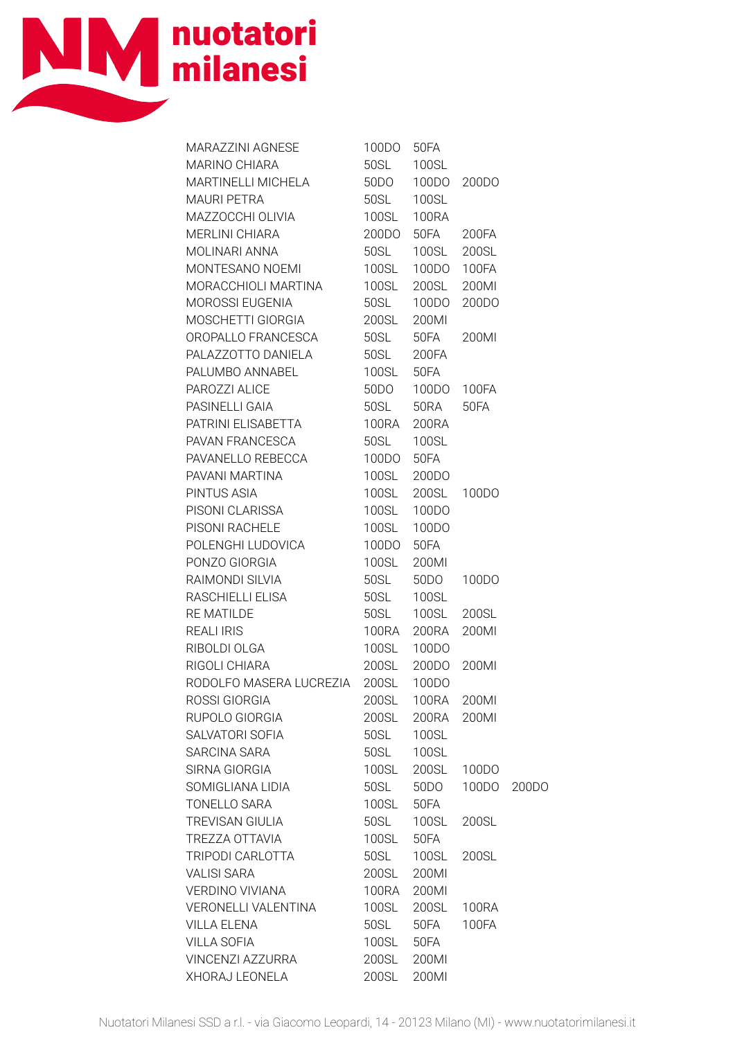

| MARAZZINI AGNESE                                                   | 100DO        | 50FA               |            |       |
|--------------------------------------------------------------------|--------------|--------------------|------------|-------|
| MARINO CHIARA<br>MARTINELLI MICHELA                                | 50SL         | 100SL              |            |       |
|                                                                    | 50DO         | 100DO              | 200DO      |       |
| MAURI PETRA<br>MAZZOCCHI OLIVIA<br>MERLINI CHIARA<br>MOLINARI ANNA | 50SL         | 100SL              |            |       |
|                                                                    | <b>100SL</b> | <b>100RA</b>       |            |       |
|                                                                    | 200DO        | 50FA               | 200FA      |       |
|                                                                    | 50SL         | 100SL 200SL        |            |       |
| MONTESANO NOEMI                                                    | <b>100SL</b> | 100DO 100FA        |            |       |
| MORACCHIOLI MARTINA                                                | <b>100SL</b> | 200SL 200MI        |            |       |
| MOROSSI EUGENIA                                                    | 50SL         | 100DO              | 200DO      |       |
| MOSCHETTI GIORGIA                                                  | <b>200SL</b> | 200MI              |            |       |
| OROPALLO FRANCESCA                                                 | 50SL         | 50FA               | 200MI      |       |
| PALAZZOTTO DANIELA 50SL 200FA                                      |              |                    |            |       |
| PALUMBO ANNABEL<br>PAROZZI ALICE<br>PASINELLI GAIA                 | 100SL 50FA   |                    |            |       |
|                                                                    |              | 50DO  100DO  100FA |            |       |
|                                                                    | <b>50SL</b>  | 50RA 50FA          |            |       |
| PATRINI ELISABETTA                                                 | 100RA        | 200RA              |            |       |
| PAVAN FRANCESCA                                                    |              | 50SL  100SL        |            |       |
| PAVANELLO REBECCA<br>TAVANELLO REBECCA                             | 100DO 50FA   |                    |            |       |
| PAVANI MARTINA                                                     |              | 100SL 200DO        |            |       |
| PINTUS ASIA                                                        |              | 100SL 200SL 100DO  |            |       |
| PISONI CLARISSA                                                    | 100SL        | 100DO              |            |       |
| PISONI RACHELE                                                     | <b>100SL</b> | 100DO              |            |       |
| POLENGHI LUDOVICA                                                  | 100DO        | 50FA               |            |       |
| PONZO GIORGIA                                                      | <b>100SL</b> | 200MI              |            |       |
| RAIMONDI SILVIA                                                    | 50SL         |                    | 50DO 100DO |       |
| RASCHIELLI ELISA                                                   | 50SL         | <b>100SL</b>       |            |       |
| <b>RE MATILDE</b>                                                  | 50SL         | 100SL 200SL        |            |       |
| <b>REALI IRIS</b>                                                  | <b>100RA</b> | 200RA              | 200MI      |       |
| RIBOLDI OLGA                                                       |              | 100SL 100DO        |            |       |
| RIGOLI CHIARA                                                      |              | 200SL 200DO        | 200MI      |       |
| RODOLFO MASERA LUCREZIA                                            | <b>200SL</b> | 100DO              |            |       |
| ROSSI GIORGIA                                                      | 200SL        | <b>100RA</b>       | 200MI      |       |
| RUPOLO GIORGIA                                                     | 200SL        | 200RA              | 200MI      |       |
| SALVATORI SOFIA                                                    | 50SL         | 100SL              |            |       |
| SARCINA SARA                                                       | 50SL         | 100SL              |            |       |
| SIRNA GIORGIA                                                      | <b>100SL</b> | 200SL              | 100DO      |       |
| SOMIGLIANA LIDIA                                                   | 50SL         | 50DO               | 100DO      | 200DO |
| <b>TONELLO SARA</b>                                                | 100SL        | 50FA               |            |       |
| <b>TREVISAN GIULIA</b>                                             | 50SL         | 100SL              | 200SL      |       |
| TREZZA OTTAVIA                                                     | <b>100SL</b> | 50FA               |            |       |
| TRIPODI CARLOTTA                                                   | 50SL         | 100SL              | 200SL      |       |
| <b>VALISI SARA</b>                                                 | 200SL        | 200MI              |            |       |
| VERDINO VIVIANA                                                    | <b>100RA</b> | 200MI              |            |       |
| VERONELLI VALENTINA                                                | 100SL        | 200SL              | 100RA      |       |
| <b>VILLA ELENA</b>                                                 | 50SL         | 50FA               | 100FA      |       |
| <b>VILLA SOFIA</b>                                                 | 100SL        | 50FA               |            |       |
| VINCENZI AZZURRA                                                   | 200SL        | 200MI              |            |       |
| XHORAJ LEONELA                                                     | 200SL        | 200MI              |            |       |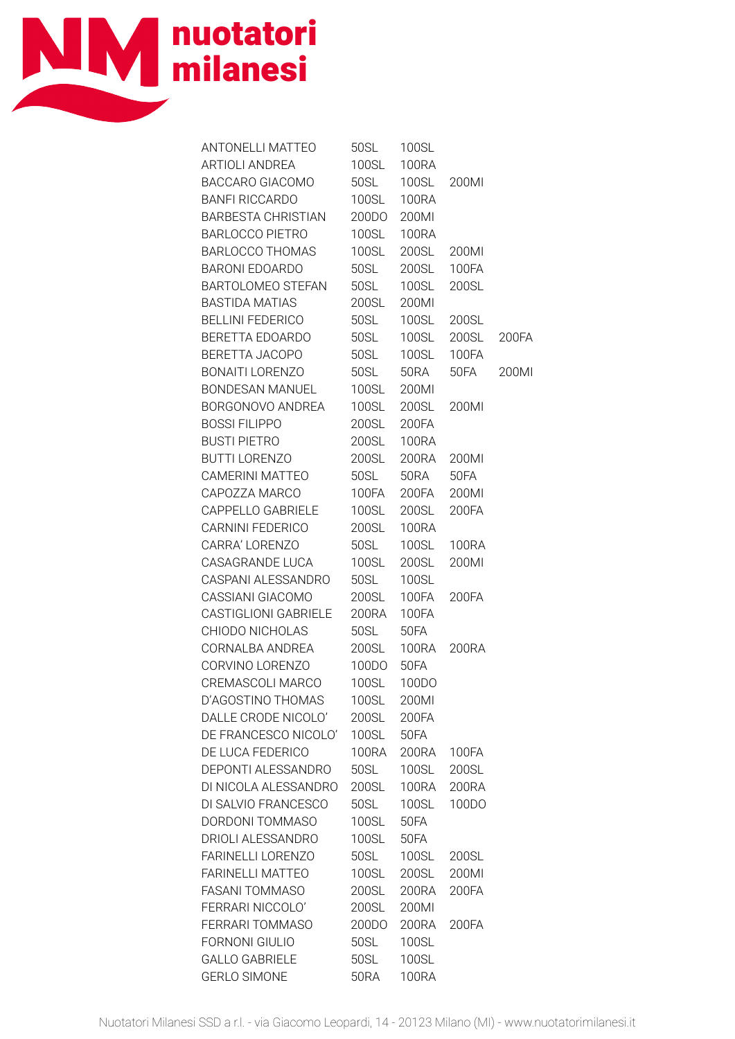

| ANTONELLI MATTEO          | 50SL         | 100SL        |       |       |
|---------------------------|--------------|--------------|-------|-------|
| ARTIOLI ANDREA            | <b>100SL</b> | <b>100RA</b> |       |       |
| BACCARO GIACOMO           | 50SL         | 100SL        | 200MI |       |
| <b>BANFI RICCARDO</b>     | <b>100SL</b> | <b>100RA</b> |       |       |
| <b>BARBESTA CHRISTIAN</b> | 200DO        | 200MI        |       |       |
| <b>BARLOCCO PIETRO</b>    | 100SL        | 100RA        |       |       |
| BARLOCCO THOMAS           | <b>100SL</b> | 200SL        | 200MI |       |
| <b>BARONI EDOARDO</b>     | 50SL         | <b>200SL</b> | 100FA |       |
| BARTOLOMEO STEFAN         | 50SL         | 100SL        | 200SL |       |
| BASTIDA MATIAS            | 200SL        | 200MI        |       |       |
| BELLINI FEDERICO          | <b>50SL</b>  | <b>100SL</b> | 200SL |       |
| BERETTA EDOARDO           | 50SL         | 100SL        | 200SL | 200FA |
| BERETTA JACOPO            |              | 50SL  100SL  | 100FA |       |
| BONAITI LORENZO           | 50SL         | 50RA         | 50FA  | 200Ml |
| BONDESAN MANUEL           |              | 100SL 200MI  |       |       |
| BORGONOVO ANDREA          | <b>100SL</b> | 200SL        | 200MI |       |
| <b>BOSSI FILIPPO</b>      | 200SL        | 200FA        |       |       |
| <b>BUSTI PIETRO</b>       |              | 200SL 100RA  |       |       |
| BUTTI LORENZO             |              | 200SL 200RA  | 200MI |       |
| CAMERINI MATTEO           | 50SL         | 50RA         | 50FA  |       |
| CAPOZZA MARCO             | 100FA        | 200FA        | 200MI |       |
| CAPPELLO GABRIELE         | <b>100SL</b> | <b>200SL</b> | 200FA |       |
| CARNINI FEDERICO          | 200SL        | <b>100RA</b> |       |       |
| CARRA' LORENZO            | <b>50SL</b>  | <b>100SL</b> | 100RA |       |
| CASAGRANDE LUCA           | <b>100SL</b> | <b>200SL</b> | 200MI |       |
| CASPANI ALESSANDRO        | 50SL         | <b>100SL</b> |       |       |
| CASSIANI GIACOMO          | 200SL        | 100FA        | 200FA |       |
| CASTIGLIONI GABRIELE      | 200RA 100FA  |              |       |       |
| CHIODO NICHOLAS           | <b>50SL</b>  | 50FA         |       |       |
| CORNALBA ANDREA           | 200SL        | 100RA        | 200RA |       |
| CORVINO LORENZO           | 100DO        | 50FA         |       |       |
| CREMASCOLI MARCO          | <b>100SL</b> | 100DO        |       |       |
| D'AGOSTINO THOMAS         | 100SL        | 200MI        |       |       |
| DALLE CRODE NICOLO'       | 200SL        | 200FA        |       |       |
| DE FRANCESCO NICOLO'      | 100SL        | 50FA         |       |       |
| DE LUCA FEDERICO          | <b>100RA</b> | 200RA        | 100FA |       |
| DEPONTI ALESSANDRO        | 50SL         | 100SL        | 200SL |       |
| DI NICOLA ALESSANDRO      | 200SL        | <b>100RA</b> | 200RA |       |
| DI SALVIO FRANCESCO       | 50SL         | 100SL        | 100DO |       |
| DORDONI TOMMASO           | 100SL        | 50FA         |       |       |
| DRIOLI ALESSANDRO         | 100SL        | 50FA         |       |       |
| FARINELLI LORENZO         | 50SL         | 100SL        | 200SL |       |
| <b>FARINELLI MATTEO</b>   | 100SL        | 200SL        | 200MI |       |
| FASANI TOMMASO            | 200SL        | 200RA        | 200FA |       |
| FERRARI NICCOLO'          | 200SL        | 200MI        |       |       |
| FERRARI TOMMASO           | 200DO        | 200RA        | 200FA |       |
| <b>FORNONI GIULIO</b>     | 50SL         | 100SL        |       |       |
| <b>GALLO GABRIELE</b>     | 50SL         | 100SL        |       |       |
| <b>GERLO SIMONE</b>       | <b>50RA</b>  | <b>100RA</b> |       |       |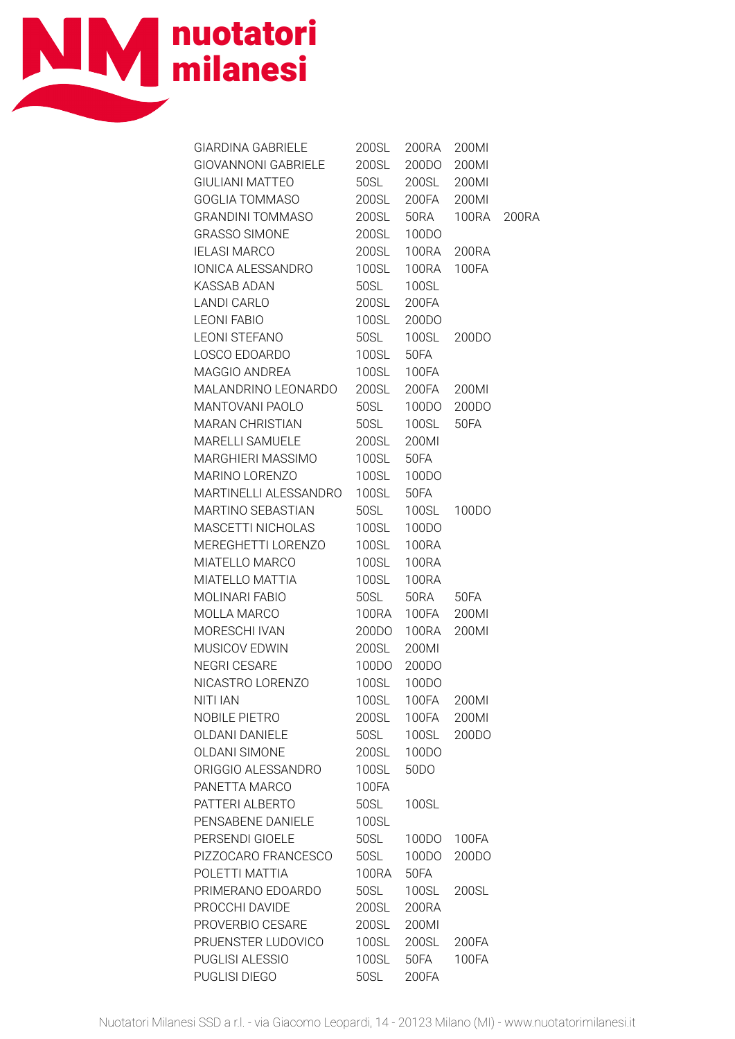

| GIARDINA GABRIELE      | 200SL        | 200RA             | 200MI        |  |
|------------------------|--------------|-------------------|--------------|--|
| GIOVANNONI GABRIELE    | 200SL        | 200DO             | 200MI        |  |
| <b>GIULIANI MATTEO</b> | 50SL         | 200SL             | 200MI        |  |
| GOGLIA TOMMASO         | <b>200SL</b> | 200FA             | 200MI        |  |
| GRANDINI TOMMASO       | 200SL        | 50RA              | 100RA 200RA  |  |
| <b>GRASSO SIMONE</b>   | 200SL        | 100DO             |              |  |
| <b>IELASI MARCO</b>    | 200SL        |                   | 100RA 200RA  |  |
| IONICA ALESSANDRO      | <b>100SL</b> | 100RA 100FA       |              |  |
| <b>KASSAB ADAN</b>     | 50SL         | 100SL             |              |  |
| LANDI CARLO            | <b>200SL</b> | 200FA             |              |  |
| <b>LEONI FABIO</b>     | <b>100SL</b> | 200DO             |              |  |
| LEONI STEFANO          | 50SL         | 100SL             | 200DO        |  |
| LOSCO EDOARDO          | <b>100SL</b> | 50FA              |              |  |
| MAGGIO ANDREA          | 100SL        | 100FA             |              |  |
| MALANDRINO LEONARDO    | <b>200SL</b> | 200FA 200MI       |              |  |
| <b>MANTOVANI PAOLO</b> | 50SL         |                   | 100DO 200DO  |  |
| MARAN CHRISTIAN        | 50SL         | 100SL 50FA        |              |  |
| MARELLI SAMUELE        | 200SL        | 200MI             |              |  |
| MARGHIERI MASSIMO      | <b>100SL</b> | 50FA              |              |  |
| MARINO LORENZO         | <b>100SL</b> | 100DO             |              |  |
| MARTINELLI ALESSANDRO  | <b>100SL</b> | 50FA              |              |  |
| MARTINO SEBASTIAN      | 50SL         |                   | 100SL 100DO  |  |
| MASCETTI NICHOLAS      | 100SL        | 100DO             |              |  |
| MEREGHETTI LORENZO     | <b>100SL</b> | <b>100RA</b>      |              |  |
| MIATELLO MARCO         | <b>100SL</b> | <b>100RA</b>      |              |  |
| MIATELLO MATTIA        | 100SL        | 100RA             |              |  |
| MOLINARI FABIO         | 50SL         | 50RA 50FA         |              |  |
| MOLLA MARCO            | 100RA        | 100FA 200MI       |              |  |
| MORESCHI IVAN          | 200DO        | 100RA             | 200MI        |  |
| MUSICOV EDWIN          | 200SL        | 200MI             |              |  |
| <b>NEGRI CESARE</b>    | 100DO        | 200DO             |              |  |
| NICASTRO LORENZO       | 100SL        | 100DO             |              |  |
| <b>NITI IAN</b>        | 100SL        | 100FA             | 200MI        |  |
| NOBILE PIETRO          | 200SL        | 100FA             | 200MI        |  |
| <b>OLDANI DANIELE</b>  | 50SL         | 100SL             | 200DO        |  |
| <b>OLDANI SIMONE</b>   | 200SL        | 100DO             |              |  |
| ORIGGIO ALESSANDRO     | 100SL        | 50 <sub>D</sub> O |              |  |
| PANETTA MARCO          | 100FA        |                   |              |  |
| PATTERI ALBERTO        | 50SL         | 100SL             |              |  |
| PENSABENE DANIELE      | 100SL        |                   |              |  |
| PERSENDI GIOELE        | 50SL         | 100DO             | <b>100FA</b> |  |
| PIZZOCARO FRANCESCO    | 50SL         | 100DO             | 200DO        |  |
| POLETTI MATTIA         | <b>100RA</b> | 50FA              |              |  |
| PRIMERANO EDOARDO      | 50SL         | 100SL             | 200SL        |  |
| PROCCHI DAVIDE         | 200SL        | 200RA             |              |  |
| PROVERBIO CESARE       | 200SL        | 200MI             |              |  |
| PRUENSTER LUDOVICO     | 100SL        | 200SL             | 200FA        |  |
| PUGLISI ALESSIO        | 100SL        | 50FA              | 100FA        |  |
| PUGLISI DIEGO          | 50SL         | 200FA             |              |  |